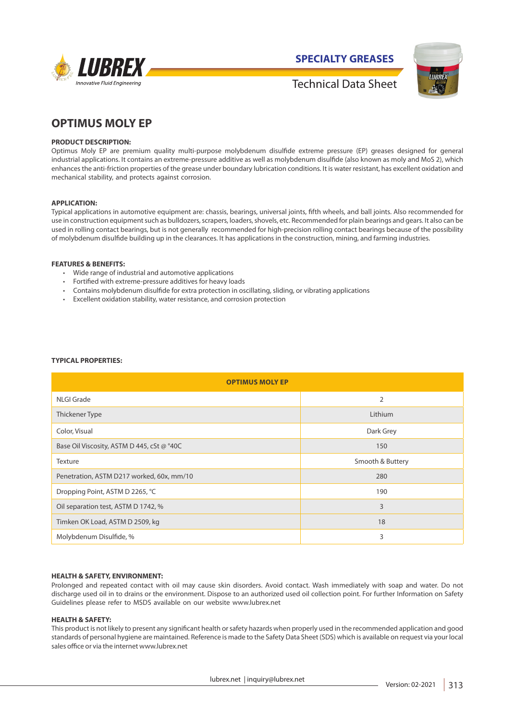

**SPECIALTY GREASES**



Technical Data Sheet

# **OPTIMUS MOLY EP**

## **PRODUCT DESCRIPTION:**

Optimus Moly EP are premium quality multi-purpose molybdenum disulfide extreme pressure (EP) greases designed for general industrial applications. It contains an extreme-pressure additive as well as molybdenum disulfide (also known as moly and MoS 2), which enhances the anti-friction properties of the grease under boundary lubrication conditions. It is water resistant, has excellent oxidation and mechanical stability, and protects against corrosion.

## **APPLICATION:**

Typical applications in automotive equipment are: chassis, bearings, universal joints, fifth wheels, and ball joints. Also recommended for use in construction equipment such as bulldozers, scrapers, loaders, shovels, etc. Recommended for plain bearings and gears. It also can be used in rolling contact bearings, but is not generally recommended for high-precision rolling contact bearings because of the possibility of molybdenum disulfide building up in the clearances. It has applications in the construction, mining, and farming industries.

#### **FEATURES & BENEFITS:**

- Wide range of industrial and automotive applications
- Fortified with extreme-pressure additives for heavy loads
- Contains molybdenum disulfide for extra protection in oscillating, sliding, or vibrating applications
- Excellent oxidation stability, water resistance, and corrosion protection

### **TYPICAL PROPERTIES:**

| <b>OPTIMUS MOLY EP</b>                     |                  |
|--------------------------------------------|------------------|
| NLGI Grade                                 | $\overline{2}$   |
| Thickener Type                             | Lithium          |
| Color, Visual                              | Dark Grey        |
| Base Oil Viscosity, ASTM D 445, cSt @ °40C | 150              |
| Texture                                    | Smooth & Buttery |
| Penetration, ASTM D217 worked, 60x, mm/10  | 280              |
| Dropping Point, ASTM D 2265, °C            | 190              |
| Oil separation test, ASTM D 1742, %        | $\overline{3}$   |
| Timken OK Load, ASTM D 2509, kg            | 18               |
| Molybdenum Disulfide, %                    | 3                |

#### **HEALTH & SAFETY, ENVIRONMENT:**

Prolonged and repeated contact with oil may cause skin disorders. Avoid contact. Wash immediately with soap and water. Do not discharge used oil in to drains or the environment. Dispose to an authorized used oil collection point. For further Information on Safety Guidelines please refer to MSDS available on our website www.lubrex.net

## **HEALTH & SAFETY:**

This product is not likely to present any significant health or safety hazards when properly used in the recommended application and good standards of personal hygiene are maintained. Reference is made to the Safety Data Sheet (SDS) which is available on request via your local sales office or via the internet www.lubrex.net